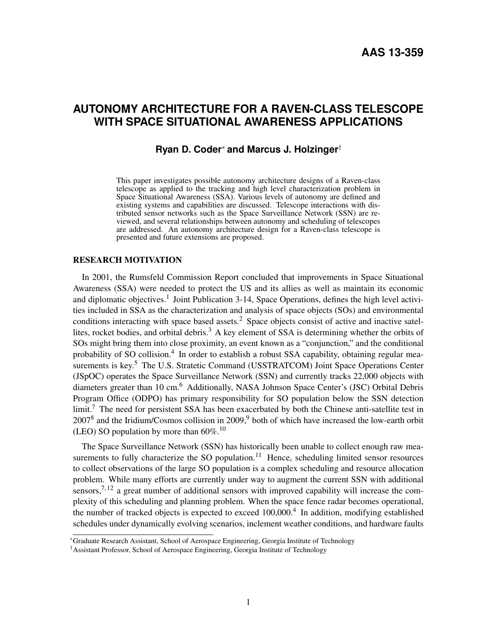# **AUTONOMY ARCHITECTURE FOR A RAVEN-CLASS TELESCOPE WITH SPACE SITUATIONAL AWARENESS APPLICATIONS**

## **Ryan D. Coder**<sup>∗</sup> **and Marcus J. Holzinger**†

This paper investigates possible autonomy architecture designs of a Raven-class telescope as applied to the tracking and high level characterization problem in Space Situational Awareness (SSA). Various levels of autonomy are defined and existing systems and capabilities are discussed. Telescope interactions with distributed sensor networks such as the Space Surveillance Network (SSN) are reviewed, and several relationships between autonomy and scheduling of telescopes are addressed. An autonomy architecture design for a Raven-class telescope is presented and future extensions are proposed.

## RESEARCH MOTIVATION

In 2001, the Rumsfeld Commission Report concluded that improvements in Space Situational Awareness (SSA) were needed to protect the US and its allies as well as maintain its economic and diplomatic objectives.<sup>[1](#page-17-0)</sup> Joint Publication 3-14, Space Operations, defines the high level activities included in SSA as the characterization and analysis of space objects (SOs) and environmental conditions interacting with space based assets.<sup>[2](#page-17-1)</sup> Space objects consist of active and inactive satel-lites, rocket bodies, and orbital debris.<sup>[3](#page-17-2)</sup> A key element of SSA is determining whether the orbits of SOs might bring them into close proximity, an event known as a "conjunction," and the conditional probability of SO collision.<sup>[4](#page-17-3)</sup> In order to establish a robust SSA capability, obtaining regular mea-surements is key.<sup>[5](#page-17-4)</sup> The U.S. Stratetic Command (USSTRATCOM) Joint Space Operations Center (JSpOC) operates the Space Surveillance Network (SSN) and currently tracks 22,000 objects with diameters greater than 10 cm.<sup>[6](#page-17-5)</sup> Additionally, NASA Johnson Space Center's (JSC) Orbital Debris Program Office (ODPO) has primary responsibility for SO population below the SSN detection limit.<sup>[7](#page-17-6)</sup> The need for persistent SSA has been exacerbated by both the Chinese anti-satellite test in  $2007<sup>8</sup>$  $2007<sup>8</sup>$  $2007<sup>8</sup>$  and the Iridium/Cosmos collision in 200[9](#page-17-8),<sup>9</sup> both of which have increased the low-earth orbit (LEO) SO population by more than  $60\%$ <sup>[10](#page-17-9)</sup>

The Space Surveillance Network (SSN) has historically been unable to collect enough raw mea-surements to fully characterize the SO population.<sup>[11](#page-17-10)</sup> Hence, scheduling limited sensor resources to collect observations of the large SO population is a complex scheduling and resource allocation problem. While many efforts are currently under way to augment the current SSN with additional sensors,  $7,12$  $7,12$  a great number of additional sensors with improved capability will increase the complexity of this scheduling and planning problem. When the space fence radar becomes operational, the number of tracked objects is expected to exceed 100,000.<sup>[4](#page-17-3)</sup> In addition, modifying established schedules under dynamically evolving scenarios, inclement weather conditions, and hardware faults

<sup>∗</sup>Graduate Research Assistant, School of Aerospace Engineering, Georgia Institute of Technology

<sup>†</sup>Assistant Professor, School of Aerospace Engineering, Georgia Institute of Technology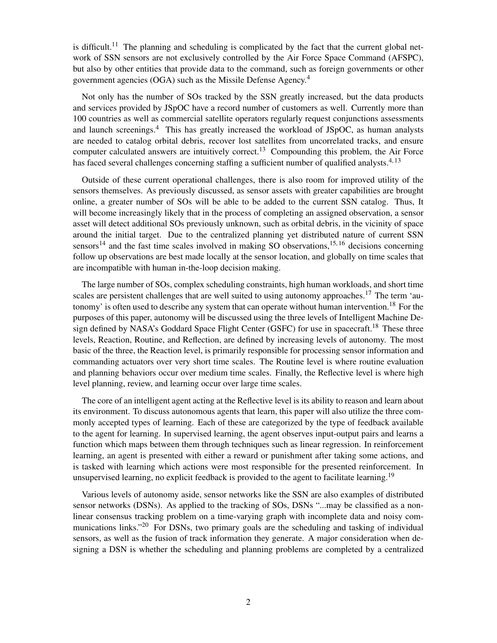is difficult.<sup>[11](#page-17-10)</sup> The planning and scheduling is complicated by the fact that the current global network of SSN sensors are not exclusively controlled by the Air Force Space Command (AFSPC), but also by other entities that provide data to the command, such as foreign governments or other government agencies (OGA) such as the Missile Defense Agency.[4](#page-17-3)

Not only has the number of SOs tracked by the SSN greatly increased, but the data products and services provided by JSpOC have a record number of customers as well. Currently more than 100 countries as well as commercial satellite operators regularly request conjunctions assessments and launch screenings.<sup>[4](#page-17-3)</sup> This has greatly increased the workload of JSpOC, as human analysts are needed to catalog orbital debris, recover lost satellites from uncorrelated tracks, and ensure computer calculated answers are intuitively correct.<sup>[13](#page-17-12)</sup> Compounding this problem, the Air Force has faced several challenges concerning staffing a sufficient number of qualified analysts.<sup>[4,](#page-17-3) [13](#page-17-12)</sup>

Outside of these current operational challenges, there is also room for improved utility of the sensors themselves. As previously discussed, as sensor assets with greater capabilities are brought online, a greater number of SOs will be able to be added to the current SSN catalog. Thus, It will become increasingly likely that in the process of completing an assigned observation, a sensor asset will detect additional SOs previously unknown, such as orbital debris, in the vicinity of space around the initial target. Due to the centralized planning yet distributed nature of current SSN sensors<sup>[14](#page-17-13)</sup> and the fast time scales involved in making SO observations,<sup>[15,](#page-17-14) [16](#page-17-15)</sup> decisions concerning follow up observations are best made locally at the sensor location, and globally on time scales that are incompatible with human in-the-loop decision making.

The large number of SOs, complex scheduling constraints, high human workloads, and short time scales are persistent challenges that are well suited to using autonomy approaches.<sup>[17](#page-17-16)</sup> The term 'au-tonomy' is often used to describe any system that can operate without human intervention.<sup>[18](#page-18-0)</sup> For the purposes of this paper, autonomy will be discussed using the three levels of Intelligent Machine De-sign defined by NASA's Goddard Space Flight Center (GSFC) for use in spacecraft.<sup>[18](#page-18-0)</sup> These three levels, Reaction, Routine, and Reflection, are defined by increasing levels of autonomy. The most basic of the three, the Reaction level, is primarily responsible for processing sensor information and commanding actuators over very short time scales. The Routine level is where routine evaluation and planning behaviors occur over medium time scales. Finally, the Reflective level is where high level planning, review, and learning occur over large time scales.

The core of an intelligent agent acting at the Reflective level is its ability to reason and learn about its environment. To discuss autonomous agents that learn, this paper will also utilize the three commonly accepted types of learning. Each of these are categorized by the type of feedback available to the agent for learning. In supervised learning, the agent observes input-output pairs and learns a function which maps between them through techniques such as linear regression. In reinforcement learning, an agent is presented with either a reward or punishment after taking some actions, and is tasked with learning which actions were most responsible for the presented reinforcement. In unsupervised learning, no explicit feedback is provided to the agent to facilitate learning.<sup>[19](#page-18-1)</sup>

Various levels of autonomy aside, sensor networks like the SSN are also examples of distributed sensor networks (DSNs). As applied to the tracking of SOs, DSNs "...may be classified as a nonlinear consensus tracking problem on a time-varying graph with incomplete data and noisy com-munications links."<sup>[20](#page-18-2)</sup> For DSNs, two primary goals are the scheduling and tasking of individual sensors, as well as the fusion of track information they generate. A major consideration when designing a DSN is whether the scheduling and planning problems are completed by a centralized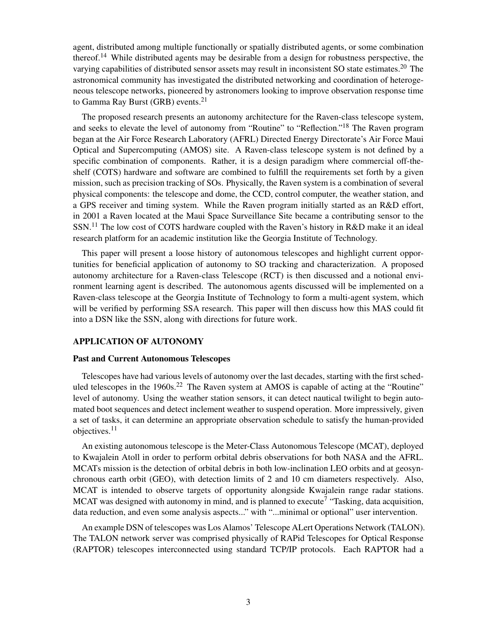agent, distributed among multiple functionally or spatially distributed agents, or some combination thereof.<sup>[14](#page-17-13)</sup> While distributed agents may be desirable from a design for robustness perspective, the varying capabilities of distributed sensor assets may result in inconsistent SO state estimates.<sup>[20](#page-18-2)</sup> The astronomical community has investigated the distributed networking and coordination of heterogeneous telescope networks, pioneered by astronomers looking to improve observation response time to Gamma Ray Burst (GRB) events.<sup>[21](#page-18-3)</sup>

The proposed research presents an autonomy architecture for the Raven-class telescope system, and seeks to elevate the level of autonomy from "Routine" to "Reflection."<sup>[18](#page-18-0)</sup> The Raven program began at the Air Force Research Laboratory (AFRL) Directed Energy Directorate's Air Force Maui Optical and Supercomputing (AMOS) site. A Raven-class telescope system is not defined by a specific combination of components. Rather, it is a design paradigm where commercial off-theshelf (COTS) hardware and software are combined to fulfill the requirements set forth by a given mission, such as precision tracking of SOs. Physically, the Raven system is a combination of several physical components: the telescope and dome, the CCD, control computer, the weather station, and a GPS receiver and timing system. While the Raven program initially started as an R&D effort, in 2001 a Raven located at the Maui Space Surveillance Site became a contributing sensor to the  $SSN<sup>11</sup>$  $SSN<sup>11</sup>$  $SSN<sup>11</sup>$  The low cost of COTS hardware coupled with the Raven's history in R&D make it an ideal research platform for an academic institution like the Georgia Institute of Technology.

This paper will present a loose history of autonomous telescopes and highlight current opportunities for beneficial application of autonomy to SO tracking and characterization. A proposed autonomy architecture for a Raven-class Telescope (RCT) is then discussed and a notional environment learning agent is described. The autonomous agents discussed will be implemented on a Raven-class telescope at the Georgia Institute of Technology to form a multi-agent system, which will be verified by performing SSA research. This paper will then discuss how this MAS could fit into a DSN like the SSN, along with directions for future work.

#### APPLICATION OF AUTONOMY

#### Past and Current Autonomous Telescopes

Telescopes have had various levels of autonomy over the last decades, starting with the first scheduled telescopes in the  $1960s<sup>22</sup>$  $1960s<sup>22</sup>$  $1960s<sup>22</sup>$  The Raven system at AMOS is capable of acting at the "Routine" level of autonomy. Using the weather station sensors, it can detect nautical twilight to begin automated boot sequences and detect inclement weather to suspend operation. More impressively, given a set of tasks, it can determine an appropriate observation schedule to satisfy the human-provided objectives.[11](#page-17-10)

An existing autonomous telescope is the Meter-Class Autonomous Telescope (MCAT), deployed to Kwajalein Atoll in order to perform orbital debris observations for both NASA and the AFRL. MCATs mission is the detection of orbital debris in both low-inclination LEO orbits and at geosynchronous earth orbit (GEO), with detection limits of 2 and 10 cm diameters respectively. Also, MCAT is intended to observe targets of opportunity alongside Kwajalein range radar stations. MCAT was designed with autonomy in mind, and is planned to execute<sup>[7](#page-17-6)</sup> "Tasking, data acquisition, data reduction, and even some analysis aspects..." with "...minimal or optional" user intervention.

An example DSN of telescopes was Los Alamos' Telescope ALert Operations Network (TALON). The TALON network server was comprised physically of RAPid Telescopes for Optical Response (RAPTOR) telescopes interconnected using standard TCP/IP protocols. Each RAPTOR had a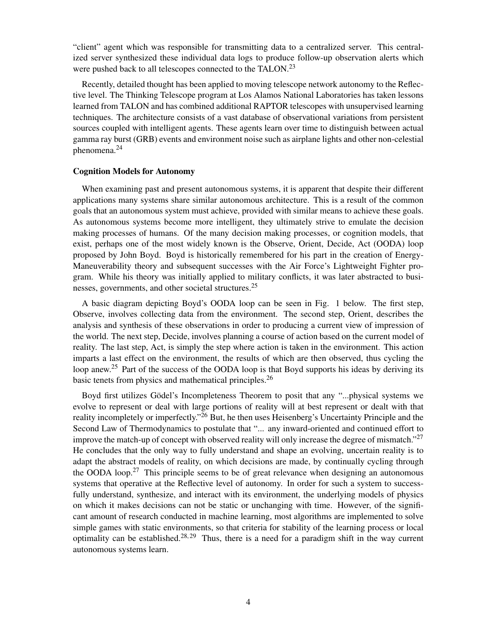"client" agent which was responsible for transmitting data to a centralized server. This centralized server synthesized these individual data logs to produce follow-up observation alerts which were pushed back to all telescopes connected to the TALON.<sup>[23](#page-18-5)</sup>

Recently, detailed thought has been applied to moving telescope network autonomy to the Reflective level. The Thinking Telescope program at Los Alamos National Laboratories has taken lessons learned from TALON and has combined additional RAPTOR telescopes with unsupervised learning techniques. The architecture consists of a vast database of observational variations from persistent sources coupled with intelligent agents. These agents learn over time to distinguish between actual gamma ray burst (GRB) events and environment noise such as airplane lights and other non-celestial phenomena.[24](#page-18-6)

## Cognition Models for Autonomy

When examining past and present autonomous systems, it is apparent that despite their different applications many systems share similar autonomous architecture. This is a result of the common goals that an autonomous system must achieve, provided with similar means to achieve these goals. As autonomous systems become more intelligent, they ultimately strive to emulate the decision making processes of humans. Of the many decision making processes, or cognition models, that exist, perhaps one of the most widely known is the Observe, Orient, Decide, Act (OODA) loop proposed by John Boyd. Boyd is historically remembered for his part in the creation of Energy-Maneuverability theory and subsequent successes with the Air Force's Lightweight Fighter program. While his theory was initially applied to military conflicts, it was later abstracted to businesses, governments, and other societal structures.[25](#page-18-7)

A basic diagram depicting Boyd's OODA loop can be seen in Fig. [1](#page-4-0) below. The first step, Observe, involves collecting data from the environment. The second step, Orient, describes the analysis and synthesis of these observations in order to producing a current view of impression of the world. The next step, Decide, involves planning a course of action based on the current model of reality. The last step, Act, is simply the step where action is taken in the environment. This action imparts a last effect on the environment, the results of which are then observed, thus cycling the loop anew.<sup>[25](#page-18-7)</sup> Part of the success of the OODA loop is that Boyd supports his ideas by deriving its basic tenets from physics and mathematical principles.<sup>[26](#page-18-8)</sup>

Boyd first utilizes Gödel's Incompleteness Theorem to posit that any "...physical systems we evolve to represent or deal with large portions of reality will at best represent or dealt with that reality incompletely or imperfectly."<sup>[26](#page-18-8)</sup> But, he then uses Heisenberg's Uncertainty Principle and the Second Law of Thermodynamics to postulate that "... any inward-oriented and continued effort to improve the match-up of concept with observed reality will only increase the degree of mismatch." $27$ He concludes that the only way to fully understand and shape an evolving, uncertain reality is to adapt the abstract models of reality, on which decisions are made, by continually cycling through the OODA loop.<sup>[27](#page-18-9)</sup> This principle seems to be of great relevance when designing an autonomous systems that operative at the Reflective level of autonomy. In order for such a system to successfully understand, synthesize, and interact with its environment, the underlying models of physics on which it makes decisions can not be static or unchanging with time. However, of the significant amount of research conducted in machine learning, most algorithms are implemented to solve simple games with static environments, so that criteria for stability of the learning process or local optimality can be established.<sup>[28,](#page-18-10) [29](#page-18-11)</sup> Thus, there is a need for a paradigm shift in the way current autonomous systems learn.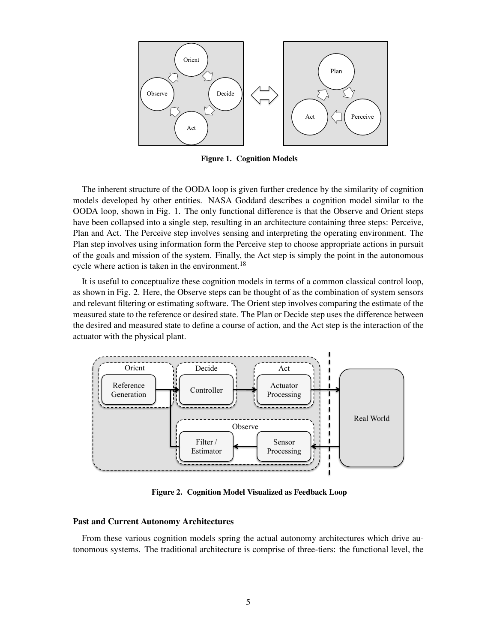

<span id="page-4-0"></span>Figure 1. Cognition Models

The inherent structure of the OODA loop is given further credence by the similarity of cognition models developed by other entities. NASA Goddard describes a cognition model similar to the OODA loop, shown in Fig. [1.](#page-4-0) The only functional difference is that the Observe and Orient steps have been collapsed into a single step, resulting in an architecture containing three steps: Perceive, Plan and Act. The Perceive step involves sensing and interpreting the operating environment. The Plan step involves using information form the Perceive step to choose appropriate actions in pursuit of the goals and mission of the system. Finally, the Act step is simply the point in the autonomous cycle where action is taken in the environment.<sup>[18](#page-18-0)</sup>

It is useful to conceptualize these cognition models in terms of a common classical control loop, as shown in Fig. [2.](#page-4-1) Here, the Observe steps can be thought of as the combination of system sensors and relevant filtering or estimating software. The Orient step involves comparing the estimate of the measured state to the reference or desired state. The Plan or Decide step uses the difference between the desired and measured state to define a course of action, and the Act step is the interaction of the actuator with the physical plant.



<span id="page-4-1"></span>Figure 2. Cognition Model Visualized as Feedback Loop

## Past and Current Autonomy Architectures

From these various cognition models spring the actual autonomy architectures which drive autonomous systems. The traditional architecture is comprise of three-tiers: the functional level, the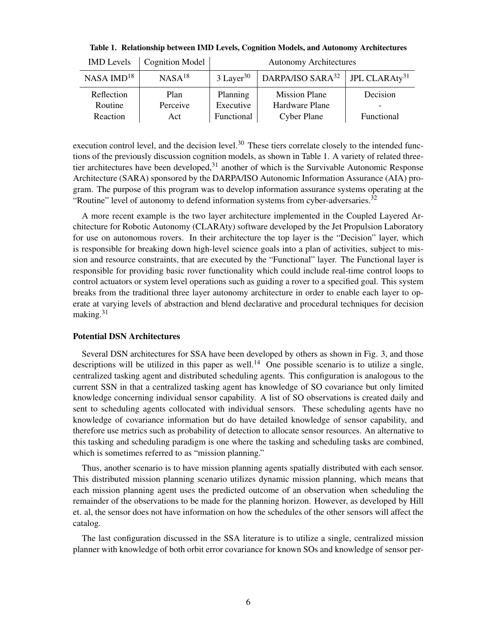| <b>IMD</b> Levels | <b>Cognition Model</b> | <b>Autonomy Architectures</b> |                                                          |            |  |
|-------------------|------------------------|-------------------------------|----------------------------------------------------------|------------|--|
| $NASA$ $IMD18$    | $NASA^{18}$            | $3$ Layer <sup>30</sup>       | DARPA/ISO SARA <sup>32</sup>   JPL CLARAty <sup>31</sup> |            |  |
| Reflection        | Plan                   | Planning                      | <b>Mission Plane</b>                                     | Decision   |  |
| Routine           | Perceive               | Executive                     | Hardware Plane                                           |            |  |
| Reaction          | Act                    | Functional                    | <b>Cyber Plane</b>                                       | Functional |  |

<span id="page-5-0"></span>Table 1. Relationship between IMD Levels, Cognition Models, and Autonomy Architectures

execution control level, and the decision level.<sup>[30](#page-18-12)</sup> These tiers correlate closely to the intended functions of the previously discussion cognition models, as shown in Table [1.](#page-5-0) A variety of related threetier architectures have been developed,  $31$  another of which is the Survivable Autonomic Response Architecture (SARA) sponsored by the DARPA/ISO Autonomic Information Assurance (AIA) program. The purpose of this program was to develop information assurance systems operating at the "Routine" level of autonomy to defend information systems from cyber-adversaries. $32$ 

A more recent example is the two layer architecture implemented in the Coupled Layered Architecture for Robotic Autonomy (CLARAty) software developed by the Jet Propulsion Laboratory for use on autonomous rovers. In their architecture the top layer is the "Decision" layer, which is responsible for breaking down high-level science goals into a plan of activities, subject to mission and resource constraints, that are executed by the "Functional" layer. The Functional layer is responsible for providing basic rover functionality which could include real-time control loops to control actuators or system level operations such as guiding a rover to a specified goal. This system breaks from the traditional three layer autonomy architecture in order to enable each layer to operate at varying levels of abstraction and blend declarative and procedural techniques for decision making.[31](#page-18-14)

#### Potential DSN Architectures

Several DSN architectures for SSA have been developed by others as shown in Fig. [3,](#page-6-0) and those descriptions will be utilized in this paper as well.<sup>[14](#page-17-13)</sup> One possible scenario is to utilize a single, centralized tasking agent and distributed scheduling agents. This configuration is analogous to the current SSN in that a centralized tasking agent has knowledge of SO covariance but only limited knowledge concerning individual sensor capability. A list of SO observations is created daily and sent to scheduling agents collocated with individual sensors. These scheduling agents have no knowledge of covariance information but do have detailed knowledge of sensor capability, and therefore use metrics such as probability of detection to allocate sensor resources. An alternative to this tasking and scheduling paradigm is one where the tasking and scheduling tasks are combined, which is sometimes referred to as "mission planning."

Thus, another scenario is to have mission planning agents spatially distributed with each sensor. This distributed mission planning scenario utilizes dynamic mission planning, which means that each mission planning agent uses the predicted outcome of an observation when scheduling the remainder of the observations to be made for the planning horizon. However, as developed by Hill et. al, the sensor does not have information on how the schedules of the other sensors will affect the catalog.

The last configuration discussed in the SSA literature is to utilize a single, centralized mission planner with knowledge of both orbit error covariance for known SOs and knowledge of sensor per-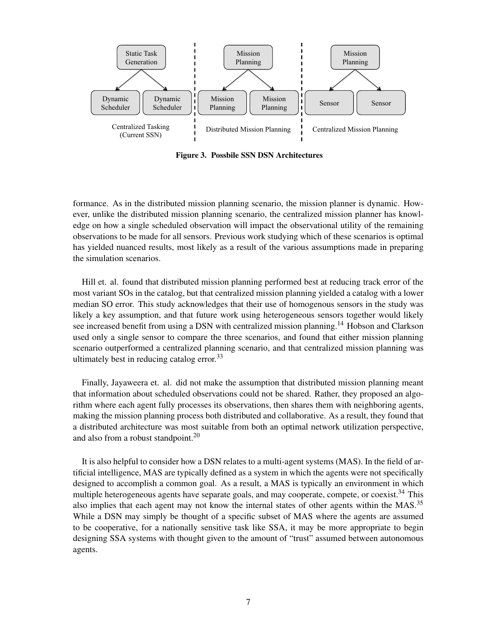

<span id="page-6-0"></span>Figure 3. Possbile SSN DSN Architectures

formance. As in the distributed mission planning scenario, the mission planner is dynamic. However, unlike the distributed mission planning scenario, the centralized mission planner has knowledge on how a single scheduled observation will impact the observational utility of the remaining observations to be made for all sensors. Previous work studying which of these scenarios is optimal has yielded nuanced results, most likely as a result of the various assumptions made in preparing the simulation scenarios.

Hill et. al. found that distributed mission planning performed best at reducing track error of the most variant SOs in the catalog, but that centralized mission planning yielded a catalog with a lower median SO error. This study acknowledges that their use of homogenous sensors in the study was likely a key assumption, and that future work using heterogeneous sensors together would likely see increased benefit from using a DSN with centralized mission planning.<sup>[14](#page-17-13)</sup> Hobson and Clarkson used only a single sensor to compare the three scenarios, and found that either mission planning scenario outperformed a centralized planning scenario, and that centralized mission planning was ultimately best in reducing catalog error.<sup>[33](#page-18-15)</sup>

Finally, Jayaweera et. al. did not make the assumption that distributed mission planning meant that information about scheduled observations could not be shared. Rather, they proposed an algorithm where each agent fully processes its observations, then shares them with neighboring agents, making the mission planning process both distributed and collaborative. As a result, they found that a distributed architecture was most suitable from both an optimal network utilization perspective, and also from a robust standpoint.<sup>[20](#page-18-2)</sup>

It is also helpful to consider how a DSN relates to a multi-agent systems (MAS). In the field of artificial intelligence, MAS are typically defined as a system in which the agents were not specifically designed to accomplish a common goal. As a result, a MAS is typically an environment in which multiple heterogeneous agents have separate goals, and may cooperate, compete, or coexist.<sup>[34](#page-18-16)</sup> This also implies that each agent may not know the internal states of other agents within the MAS.<sup>[35](#page-18-17)</sup> While a DSN may simply be thought of a specific subset of MAS where the agents are assumed to be cooperative, for a nationally sensitive task like SSA, it may be more appropriate to begin designing SSA systems with thought given to the amount of "trust" assumed between autonomous agents.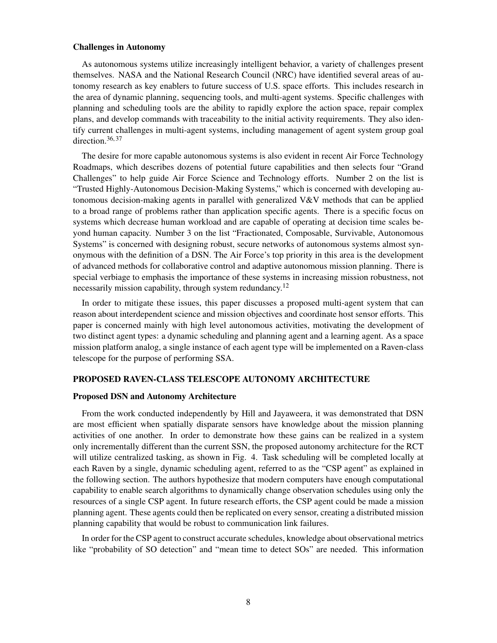### Challenges in Autonomy

As autonomous systems utilize increasingly intelligent behavior, a variety of challenges present themselves. NASA and the National Research Council (NRC) have identified several areas of autonomy research as key enablers to future success of U.S. space efforts. This includes research in the area of dynamic planning, sequencing tools, and multi-agent systems. Specific challenges with planning and scheduling tools are the ability to rapidly explore the action space, repair complex plans, and develop commands with traceability to the initial activity requirements. They also identify current challenges in multi-agent systems, including management of agent system group goal direction.  $36, 37$  $36, 37$  $36, 37$ 

The desire for more capable autonomous systems is also evident in recent Air Force Technology Roadmaps, which describes dozens of potential future capabilities and then selects four "Grand Challenges" to help guide Air Force Science and Technology efforts. Number 2 on the list is "Trusted Highly-Autonomous Decision-Making Systems," which is concerned with developing autonomous decision-making agents in parallel with generalized  $V\&V$  methods that can be applied to a broad range of problems rather than application specific agents. There is a specific focus on systems which decrease human workload and are capable of operating at decision time scales beyond human capacity. Number 3 on the list "Fractionated, Composable, Survivable, Autonomous Systems" is concerned with designing robust, secure networks of autonomous systems almost synonymous with the definition of a DSN. The Air Force's top priority in this area is the development of advanced methods for collaborative control and adaptive autonomous mission planning. There is special verbiage to emphasis the importance of these systems in increasing mission robustness, not necessarily mission capability, through system redundancy.<sup>[12](#page-17-11)</sup>

In order to mitigate these issues, this paper discusses a proposed multi-agent system that can reason about interdependent science and mission objectives and coordinate host sensor efforts. This paper is concerned mainly with high level autonomous activities, motivating the development of two distinct agent types: a dynamic scheduling and planning agent and a learning agent. As a space mission platform analog, a single instance of each agent type will be implemented on a Raven-class telescope for the purpose of performing SSA.

## PROPOSED RAVEN-CLASS TELESCOPE AUTONOMY ARCHITECTURE

## Proposed DSN and Autonomy Architecture

From the work conducted independently by Hill and Jayaweera, it was demonstrated that DSN are most efficient when spatially disparate sensors have knowledge about the mission planning activities of one another. In order to demonstrate how these gains can be realized in a system only incrementally different than the current SSN, the proposed autonomy architecture for the RCT will utilize centralized tasking, as shown in Fig. [4.](#page-8-0) Task scheduling will be completed locally at each Raven by a single, dynamic scheduling agent, referred to as the "CSP agent" as explained in the following section. The authors hypothesize that modern computers have enough computational capability to enable search algorithms to dynamically change observation schedules using only the resources of a single CSP agent. In future research efforts, the CSP agent could be made a mission planning agent. These agents could then be replicated on every sensor, creating a distributed mission planning capability that would be robust to communication link failures.

In order for the CSP agent to construct accurate schedules, knowledge about observational metrics like "probability of SO detection" and "mean time to detect SOs" are needed. This information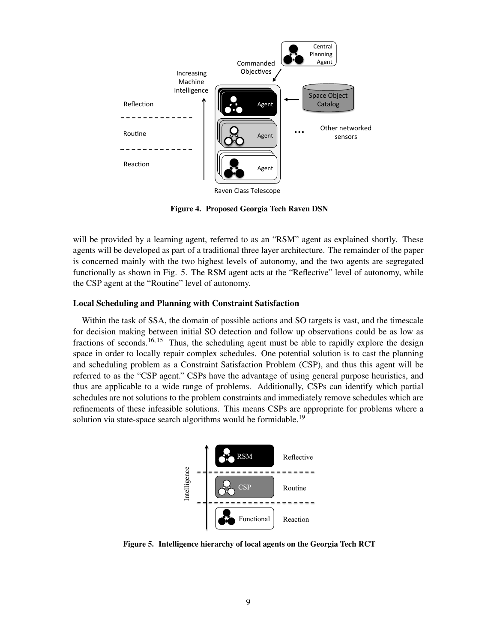

<span id="page-8-0"></span>Figure 4. Proposed Georgia Tech Raven DSN

will be provided by a learning agent, referred to as an "RSM" agent as explained shortly. These agents will be developed as part of a traditional three layer architecture. The remainder of the paper is concerned mainly with the two highest levels of autonomy, and the two agents are segregated functionally as shown in Fig. [5.](#page-8-1) The RSM agent acts at the "Reflective" level of autonomy, while the CSP agent at the "Routine" level of autonomy.

#### Local Scheduling and Planning with Constraint Satisfaction

Within the task of SSA, the domain of possible actions and SO targets is vast, and the timescale for decision making between initial SO detection and follow up observations could be as low as fractions of seconds.<sup>[16,](#page-17-15) [15](#page-17-14)</sup> Thus, the scheduling agent must be able to rapidly explore the design space in order to locally repair complex schedules. One potential solution is to cast the planning and scheduling problem as a Constraint Satisfaction Problem (CSP), and thus this agent will be referred to as the "CSP agent." CSPs have the advantage of using general purpose heuristics, and thus are applicable to a wide range of problems. Additionally, CSPs can identify which partial schedules are not solutions to the problem constraints and immediately remove schedules which are refinements of these infeasible solutions. This means CSPs are appropriate for problems where a solution via state-space search algorithms would be formidable.<sup>[19](#page-18-1)</sup>



<span id="page-8-1"></span>Figure 5. Intelligence hierarchy of local agents on the Georgia Tech RCT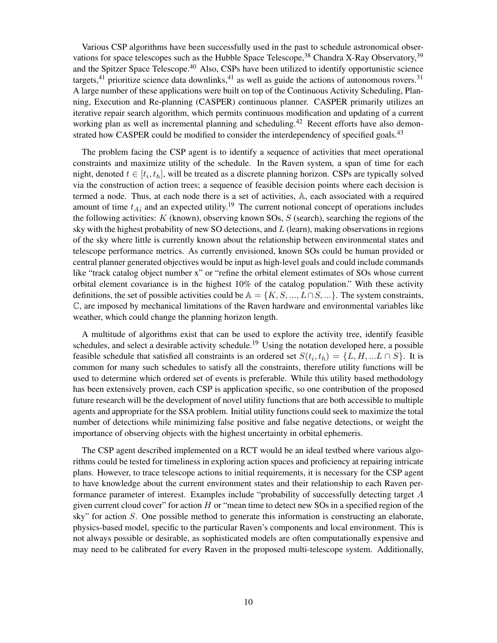Various CSP algorithms have been successfully used in the past to schedule astronomical observations for space telescopes such as the Hubble Space Telescope,  $38$  Chandra X-Ray Observatory,  $39$ and the Spitzer Space Telescope.<sup>[40](#page-18-22)</sup> Also, CSPs have been utilized to identify opportunistic science targets,<sup>[41](#page-19-0)</sup> prioritize science data downlinks,<sup>41</sup> as well as guide the actions of autonomous rovers.<sup>[31](#page-18-14)</sup> A large number of these applications were built on top of the Continuous Activity Scheduling, Planning, Execution and Re-planning (CASPER) continuous planner. CASPER primarily utilizes an iterative repair search algorithm, which permits continuous modification and updating of a current working plan as well as incremental planning and scheduling.<sup>[42](#page-19-1)</sup> Recent efforts have also demon-strated how CASPER could be modified to consider the interdependency of specified goals.<sup>[43](#page-19-2)</sup>

The problem facing the CSP agent is to identify a sequence of activities that meet operational constraints and maximize utility of the schedule. In the Raven system, a span of time for each night, denoted  $t \in [t_i, t_h]$ , will be treated as a discrete planning horizon. CSPs are typically solved via the construction of action trees; a sequence of feasible decision points where each decision is termed a node. Thus, at each node there is a set of activities, A, each associated with a required amount of time  $t_{Ai}$  and an expected utility.<sup>[19](#page-18-1)</sup> The current notional concept of operations includes the following activities:  $K$  (known), observing known SOs,  $S$  (search), searching the regions of the sky with the highest probability of new SO detections, and L (learn), making observations in regions of the sky where little is currently known about the relationship between environmental states and telescope performance metrics. As currently envisioned, known SOs could be human provided or central planner generated objectives would be input as high-level goals and could include commands like "track catalog object number x" or "refine the orbital element estimates of SOs whose current orbital element covariance is in the highest 10% of the catalog population." With these activity definitions, the set of possible activities could be  $A = \{K, S, ..., L \cap S, ...\}$ . The system constraints, C, are imposed by mechanical limitations of the Raven hardware and environmental variables like weather, which could change the planning horizon length.

A multitude of algorithms exist that can be used to explore the activity tree, identify feasible schedules, and select a desirable activity schedule.<sup>[19](#page-18-1)</sup> Using the notation developed here, a possible feasible schedule that satisfied all constraints is an ordered set  $S(t_i, t_h) = \{L, H, ... L \cap S\}$ . It is common for many such schedules to satisfy all the constraints, therefore utility functions will be used to determine which ordered set of events is preferable. While this utility based methodology has been extensively proven, each CSP is application specific, so one contribution of the proposed future research will be the development of novel utility functions that are both accessible to multiple agents and appropriate for the SSA problem. Initial utility functions could seek to maximize the total number of detections while minimizing false positive and false negative detections, or weight the importance of observing objects with the highest uncertainty in orbital ephemeris.

The CSP agent described implemented on a RCT would be an ideal testbed where various algorithms could be tested for timeliness in exploring action spaces and proficiency at repairing intricate plans. However, to trace telescope actions to initial requirements, it is necessary for the CSP agent to have knowledge about the current environment states and their relationship to each Raven performance parameter of interest. Examples include "probability of successfully detecting target A given current cloud cover" for action  $H$  or "mean time to detect new SOs in a specified region of the sky" for action S. One possible method to generate this information is constructing an elaborate, physics-based model, specific to the particular Raven's components and local environment. This is not always possible or desirable, as sophisticated models are often computationally expensive and may need to be calibrated for every Raven in the proposed multi-telescope system. Additionally,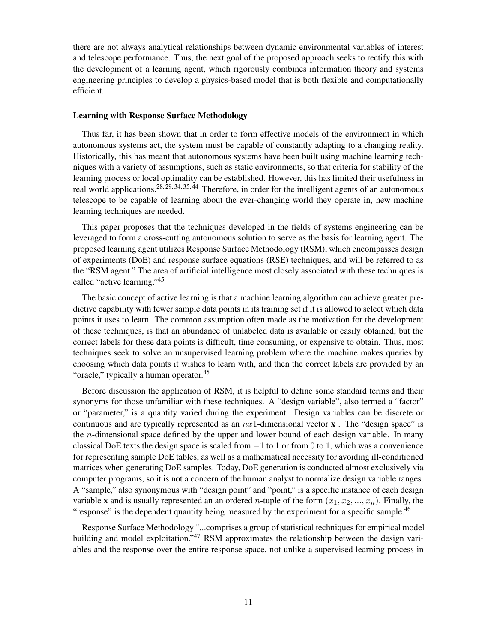there are not always analytical relationships between dynamic environmental variables of interest and telescope performance. Thus, the next goal of the proposed approach seeks to rectify this with the development of a learning agent, which rigorously combines information theory and systems engineering principles to develop a physics-based model that is both flexible and computationally efficient.

### Learning with Response Surface Methodology

Thus far, it has been shown that in order to form effective models of the environment in which autonomous systems act, the system must be capable of constantly adapting to a changing reality. Historically, this has meant that autonomous systems have been built using machine learning techniques with a variety of assumptions, such as static environments, so that criteria for stability of the learning process or local optimality can be established. However, this has limited their usefulness in real world applications.<sup>[28,](#page-18-10) [29,](#page-18-11) [34,](#page-18-16) [35,](#page-18-17) [44](#page-19-3)</sup> Therefore, in order for the intelligent agents of an autonomous telescope to be capable of learning about the ever-changing world they operate in, new machine learning techniques are needed.

This paper proposes that the techniques developed in the fields of systems engineering can be leveraged to form a cross-cutting autonomous solution to serve as the basis for learning agent. The proposed learning agent utilizes Response Surface Methodology (RSM), which encompasses design of experiments (DoE) and response surface equations (RSE) techniques, and will be referred to as the "RSM agent." The area of artificial intelligence most closely associated with these techniques is called "active learning."[45](#page-19-4)

The basic concept of active learning is that a machine learning algorithm can achieve greater predictive capability with fewer sample data points in its training set if it is allowed to select which data points it uses to learn. The common assumption often made as the motivation for the development of these techniques, is that an abundance of unlabeled data is available or easily obtained, but the correct labels for these data points is difficult, time consuming, or expensive to obtain. Thus, most techniques seek to solve an unsupervised learning problem where the machine makes queries by choosing which data points it wishes to learn with, and then the correct labels are provided by an "oracle," typically a human operator.<sup>[45](#page-19-4)</sup>

Before discussion the application of RSM, it is helpful to define some standard terms and their synonyms for those unfamiliar with these techniques. A "design variable", also termed a "factor" or "parameter," is a quantity varied during the experiment. Design variables can be discrete or continuous and are typically represented as an  $nx1$ -dimensional vector **x**. The "design space" is the n-dimensional space defined by the upper and lower bound of each design variable. In many classical DoE texts the design space is scaled from  $-1$  to 1 or from 0 to 1, which was a convenience for representing sample DoE tables, as well as a mathematical necessity for avoiding ill-conditioned matrices when generating DoE samples. Today, DoE generation is conducted almost exclusively via computer programs, so it is not a concern of the human analyst to normalize design variable ranges. A "sample," also synonymous with "design point" and "point," is a specific instance of each design variable **x** and is usually represented an an ordered *n*-tuple of the form  $(x_1, x_2, ..., x_n)$ . Finally, the "response" is the dependent quantity being measured by the experiment for a specific sample.<sup>[46](#page-19-5)</sup>

Response Surface Methodology "...comprises a group of statistical techniques for empirical model building and model exploitation."<sup>[47](#page-19-6)</sup> RSM approximates the relationship between the design variables and the response over the entire response space, not unlike a supervised learning process in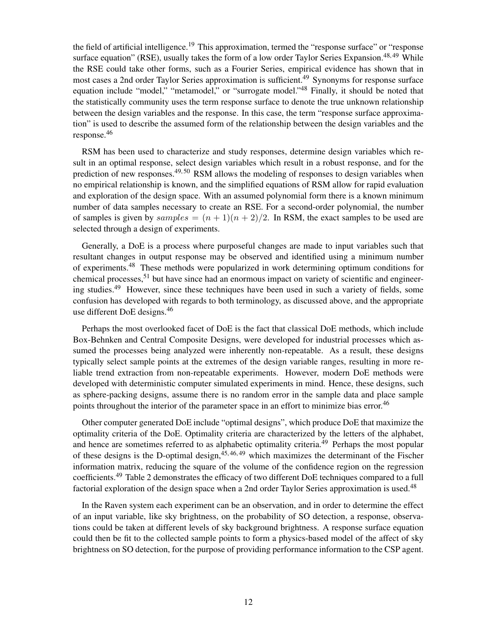the field of artificial intelligence.<sup>[19](#page-18-1)</sup> This approximation, termed the "response surface" or "response surface equation" (RSE), usually takes the form of a low order Taylor Series Expansion.<sup>[48,](#page-19-7) [49](#page-19-8)</sup> While the RSE could take other forms, such as a Fourier Series, empirical evidence has shown that in most cases a 2nd order Taylor Series approximation is sufficient.<sup>[49](#page-19-8)</sup> Synonyms for response surface equation include "model," "metamodel," or "surrogate model."<sup>[48](#page-19-7)</sup> Finally, it should be noted that the statistically community uses the term response surface to denote the true unknown relationship between the design variables and the response. In this case, the term "response surface approximation" is used to describe the assumed form of the relationship between the design variables and the response.[46](#page-19-5)

RSM has been used to characterize and study responses, determine design variables which result in an optimal response, select design variables which result in a robust response, and for the prediction of new responses. $49,50$  $49,50$  RSM allows the modeling of responses to design variables when no empirical relationship is known, and the simplified equations of RSM allow for rapid evaluation and exploration of the design space. With an assumed polynomial form there is a known minimum number of data samples necessary to create an RSE. For a second-order polynomial, the number of samples is given by samples  $=(n+1)(n+2)/2$ . In RSM, the exact samples to be used are selected through a design of experiments.

Generally, a DoE is a process where purposeful changes are made to input variables such that resultant changes in output response may be observed and identified using a minimum number of experiments.[48](#page-19-7) These methods were popularized in work determining optimum conditions for chemical processes,<sup>[51](#page-19-10)</sup> but have since had an enormous impact on variety of scientific and engineer-ing studies.<sup>[49](#page-19-8)</sup> However, since these techniques have been used in such a variety of fields, some confusion has developed with regards to both terminology, as discussed above, and the appropriate use different DoE designs.[46](#page-19-5)

Perhaps the most overlooked facet of DoE is the fact that classical DoE methods, which include Box-Behnken and Central Composite Designs, were developed for industrial processes which assumed the processes being analyzed were inherently non-repeatable. As a result, these designs typically select sample points at the extremes of the design variable ranges, resulting in more reliable trend extraction from non-repeatable experiments. However, modern DoE methods were developed with deterministic computer simulated experiments in mind. Hence, these designs, such as sphere-packing designs, assume there is no random error in the sample data and place sample points throughout the interior of the parameter space in an effort to minimize bias error.<sup>[46](#page-19-5)</sup>

Other computer generated DoE include "optimal designs", which produce DoE that maximize the optimality criteria of the DoE. Optimality criteria are characterized by the letters of the alphabet, and hence are sometimes referred to as alphabetic optimality criteria.<sup>[49](#page-19-8)</sup> Perhaps the most popular of these designs is the D-optimal design,  $45,46,49$  $45,46,49$  $45,46,49$  which maximizes the determinant of the Fischer information matrix, reducing the square of the volume of the confidence region on the regression coefficients.[49](#page-19-8) Table [2](#page-12-0) demonstrates the efficacy of two different DoE techniques compared to a full factorial exploration of the design space when a 2nd order Taylor Series approximation is used.<sup>[48](#page-19-7)</sup>

In the Raven system each experiment can be an observation, and in order to determine the effect of an input variable, like sky brightness, on the probability of SO detection, a response, observations could be taken at different levels of sky background brightness. A response surface equation could then be fit to the collected sample points to form a physics-based model of the affect of sky brightness on SO detection, for the purpose of providing performance information to the CSP agent.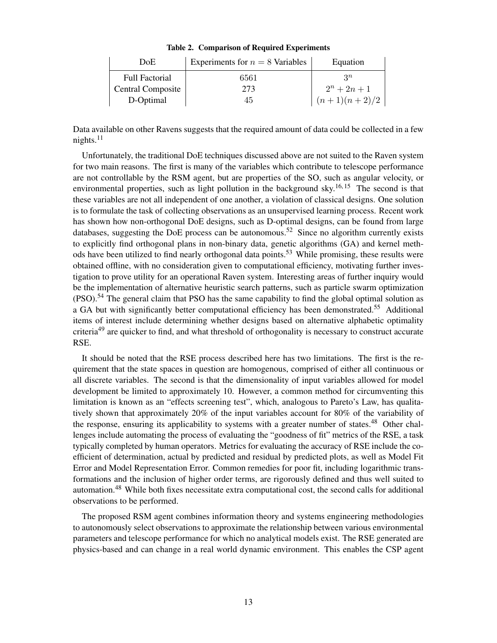| DoE.                     | Experiments for $n = 8$ Variables | Equation       |
|--------------------------|-----------------------------------|----------------|
| <b>Full Factorial</b>    | 6561                              | $2^n$          |
| <b>Central Composite</b> | 273                               | $2^n + 2n + 1$ |
| D-Optimal                | 45                                | $(n+1)(n+2)/2$ |

<span id="page-12-0"></span>Table 2. Comparison of Required Experiments

Data available on other Ravens suggests that the required amount of data could be collected in a few nights. $11$ 

Unfortunately, the traditional DoE techniques discussed above are not suited to the Raven system for two main reasons. The first is many of the variables which contribute to telescope performance are not controllable by the RSM agent, but are properties of the SO, such as angular velocity, or environmental properties, such as light pollution in the background sky.<sup>[16,](#page-17-15) [15](#page-17-14)</sup> The second is that these variables are not all independent of one another, a violation of classical designs. One solution is to formulate the task of collecting observations as an unsupervised learning process. Recent work has shown how non-orthogonal DoE designs, such as D-optimal designs, can be found from large databases, suggesting the DoE process can be autonomous.<sup>[52](#page-19-11)</sup> Since no algorithm currently exists to explicitly find orthogonal plans in non-binary data, genetic algorithms (GA) and kernel meth-ods have been utilized to find nearly orthogonal data points.<sup>[53](#page-19-12)</sup> While promising, these results were obtained offline, with no consideration given to computational efficiency, motivating further investigation to prove utility for an operational Raven system. Interesting areas of further inquiry would be the implementation of alternative heuristic search patterns, such as particle swarm optimization  $(PSO)$ .<sup>[54](#page-19-13)</sup> The general claim that PSO has the same capability to find the global optimal solution as a GA but with significantly better computational efficiency has been demonstrated.<sup>[55](#page-19-14)</sup> Additional items of interest include determining whether designs based on alternative alphabetic optimality criteria<sup>[49](#page-19-8)</sup> are quicker to find, and what threshold of orthogonality is necessary to construct accurate RSE.

It should be noted that the RSE process described here has two limitations. The first is the requirement that the state spaces in question are homogenous, comprised of either all continuous or all discrete variables. The second is that the dimensionality of input variables allowed for model development be limited to approximately 10. However, a common method for circumventing this limitation is known as an "effects screening test", which, analogous to Pareto's Law, has qualitatively shown that approximately 20% of the input variables account for 80% of the variability of the response, ensuring its applicability to systems with a greater number of states.<sup>[48](#page-19-7)</sup> Other challenges include automating the process of evaluating the "goodness of fit" metrics of the RSE, a task typically completed by human operators. Metrics for evaluating the accuracy of RSE include the coefficient of determination, actual by predicted and residual by predicted plots, as well as Model Fit Error and Model Representation Error. Common remedies for poor fit, including logarithmic transformations and the inclusion of higher order terms, are rigorously defined and thus well suited to automation.[48](#page-19-7) While both fixes necessitate extra computational cost, the second calls for additional observations to be performed.

The proposed RSM agent combines information theory and systems engineering methodologies to autonomously select observations to approximate the relationship between various environmental parameters and telescope performance for which no analytical models exist. The RSE generated are physics-based and can change in a real world dynamic environment. This enables the CSP agent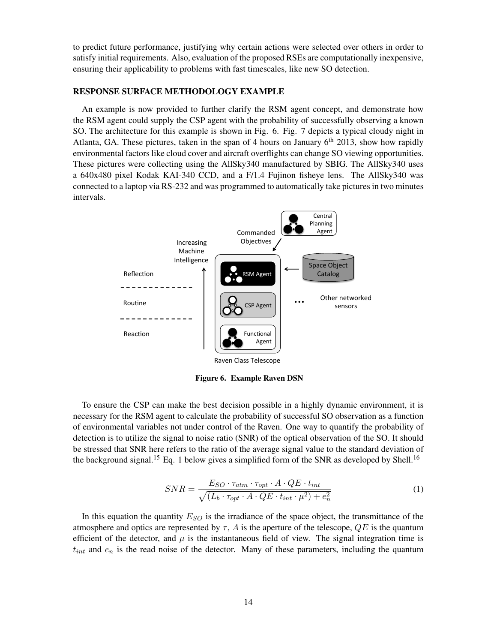to predict future performance, justifying why certain actions were selected over others in order to satisfy initial requirements. Also, evaluation of the proposed RSEs are computationally inexpensive, ensuring their applicability to problems with fast timescales, like new SO detection.

## RESPONSE SURFACE METHODOLOGY EXAMPLE

An example is now provided to further clarify the RSM agent concept, and demonstrate how the RSM agent could supply the CSP agent with the probability of successfully observing a known SO. The architecture for this example is shown in Fig. [6.](#page-13-0) Fig. [7](#page-14-0) depicts a typical cloudy night in Atlanta, GA. These pictures, taken in the span of 4 hours on January  $6<sup>th</sup>$  2013, show how rapidly environmental factors like cloud cover and aircraft overflights can change SO viewing opportunities. These pictures were collecting using the AllSky340 manufactured by SBIG. The AllSky340 uses a 640x480 pixel Kodak KAI-340 CCD, and a F/1.4 Fujinon fisheye lens. The AllSky340 was connected to a laptop via RS-232 and was programmed to automatically take pictures in two minutes intervals.



<span id="page-13-0"></span>Figure 6. Example Raven DSN

To ensure the CSP can make the best decision possible in a highly dynamic environment, it is necessary for the RSM agent to calculate the probability of successful SO observation as a function of environmental variables not under control of the Raven. One way to quantify the probability of detection is to utilize the signal to noise ratio (SNR) of the optical observation of the SO. It should be stressed that SNR here refers to the ratio of the average signal value to the standard deviation of the background signal.<sup>[15](#page-17-14)</sup> Eq. [1](#page-13-1) below gives a simplified form of the SNR as developed by Shell.<sup>[16](#page-17-15)</sup>

<span id="page-13-1"></span>
$$
SNR = \frac{E_{SO} \cdot \tau_{atm} \cdot \tau_{opt} \cdot A \cdot QE \cdot t_{int}}{\sqrt{(L_b \cdot \tau_{opt} \cdot A \cdot QE \cdot t_{int} \cdot \mu^2) + e_n^2}}
$$
(1)

In this equation the quantity  $E_{SO}$  is the irradiance of the space object, the transmittance of the atmosphere and optics are represented by  $\tau$ , A is the aperture of the telescope,  $QE$  is the quantum efficient of the detector, and  $\mu$  is the instantaneous field of view. The signal integration time is  $t_{int}$  and  $e_n$  is the read noise of the detector. Many of these parameters, including the quantum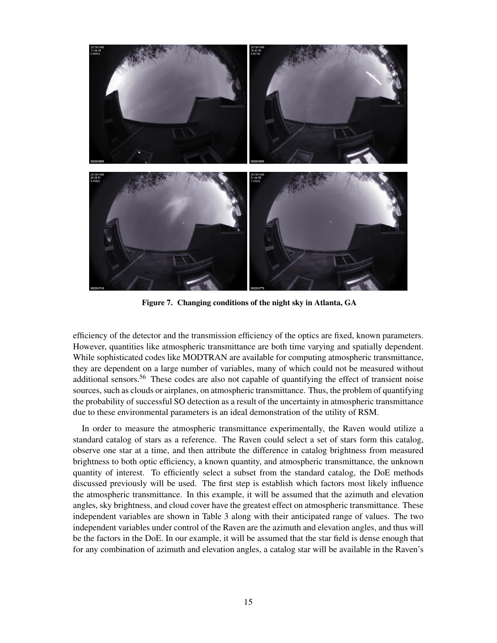

Figure 7. Changing conditions of the night sky in Atlanta, GA

<span id="page-14-0"></span>efficiency of the detector and the transmission efficiency of the optics are fixed, known parameters. However, quantities like atmospheric transmittance are both time varying and spatially dependent. While sophisticated codes like MODTRAN are available for computing atmospheric transmittance, they are dependent on a large number of variables, many of which could not be measured without additional sensors.<sup>[56](#page-19-15)</sup> These codes are also not capable of quantifying the effect of transient noise sources, such as clouds or airplanes, on atmospheric transmittance. Thus, the problem of quantifying the probability of successful SO detection as a result of the uncertainty in atmospheric transmittance due to these environmental parameters is an ideal demonstration of the utility of RSM.

In order to measure the atmospheric transmittance experimentally, the Raven would utilize a standard catalog of stars as a reference. The Raven could select a set of stars form this catalog, observe one star at a time, and then attribute the difference in catalog brightness from measured brightness to both optic efficiency, a known quantity, and atmospheric transmittance, the unknown quantity of interest. To efficiently select a subset from the standard catalog, the DoE methods discussed previously will be used. The first step is establish which factors most likely influence the atmospheric transmittance. In this example, it will be assumed that the azimuth and elevation angles, sky brightness, and cloud cover have the greatest effect on atmospheric transmittance. These independent variables are shown in Table [3](#page-15-0) along with their anticipated range of values. The two independent variables under control of the Raven are the azimuth and elevation angles, and thus will be the factors in the DoE. In our example, it will be assumed that the star field is dense enough that for any combination of azimuth and elevation angles, a catalog star will be available in the Raven's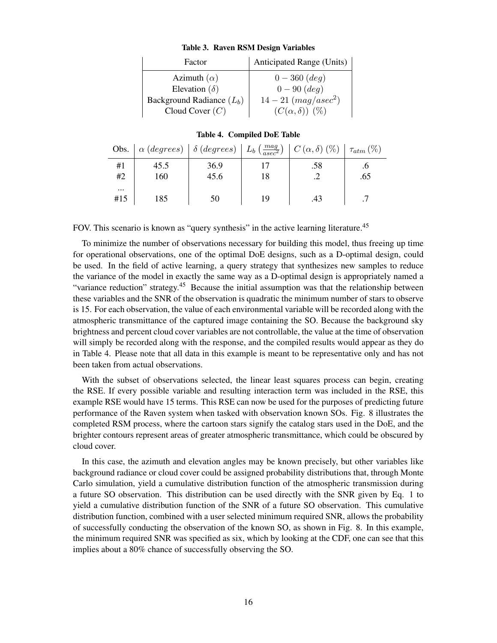| Factor                      | Anticipated Range (Units) |
|-----------------------------|---------------------------|
| Azimuth $(\alpha)$          | $0-360$ (deg)             |
| Elevation ( $\delta$ )      | $0 - 90 (deg)$            |
| Background Radiance $(L_b)$ | $14 - 21 (mag/asec^2)$    |
| Cloud Cover $(C)$           | $(C(\alpha,\delta))$ (%)  |

#### <span id="page-15-0"></span>Table 3. Raven RSM Design Variables

#### <span id="page-15-1"></span>Table 4. Compiled DoE Table

|                 | <b>Obs.</b> $\alpha$ (degrees) $\delta$ (degrees) $L_b \left( \frac{mag}{asec^2} \right)$ |      |    | $\mid C(\alpha,\delta)$ (%) | $+\tau_{atm}(\%)$ |
|-----------------|-------------------------------------------------------------------------------------------|------|----|-----------------------------|-------------------|
| #1              | 45.5                                                                                      | 36.9 |    | .58                         |                   |
| #2              | 160                                                                                       | 45.6 | 18 |                             | .65               |
| $\cdots$<br>#15 | 185                                                                                       | 50   | 19 | .43                         |                   |

FOV. This scenario is known as "query synthesis" in the active learning literature.<sup>[45](#page-19-4)</sup>

To minimize the number of observations necessary for building this model, thus freeing up time for operational observations, one of the optimal DoE designs, such as a D-optimal design, could be used. In the field of active learning, a query strategy that synthesizes new samples to reduce the variance of the model in exactly the same way as a D-optimal design is appropriately named a "variance reduction" strategy.<sup>[45](#page-19-4)</sup> Because the initial assumption was that the relationship between these variables and the SNR of the observation is quadratic the minimum number of stars to observe is 15. For each observation, the value of each environmental variable will be recorded along with the atmospheric transmittance of the captured image containing the SO. Because the background sky brightness and percent cloud cover variables are not controllable, the value at the time of observation will simply be recorded along with the response, and the compiled results would appear as they do in Table [4.](#page-15-1) Please note that all data in this example is meant to be representative only and has not been taken from actual observations.

With the subset of observations selected, the linear least squares process can begin, creating the RSE. If every possible variable and resulting interaction term was included in the RSE, this example RSE would have 15 terms. This RSE can now be used for the purposes of predicting future performance of the Raven system when tasked with observation known SOs. Fig. [8](#page-16-0) illustrates the completed RSM process, where the cartoon stars signify the catalog stars used in the DoE, and the brighter contours represent areas of greater atmospheric transmittance, which could be obscured by cloud cover.

In this case, the azimuth and elevation angles may be known precisely, but other variables like background radiance or cloud cover could be assigned probability distributions that, through Monte Carlo simulation, yield a cumulative distribution function of the atmospheric transmission during a future SO observation. This distribution can be used directly with the SNR given by Eq. [1](#page-13-1) to yield a cumulative distribution function of the SNR of a future SO observation. This cumulative distribution function, combined with a user selected minimum required SNR, allows the probability of successfully conducting the observation of the known SO, as shown in Fig. [8.](#page-16-0) In this example, the minimum required SNR was specified as six, which by looking at the CDF, one can see that this implies about a 80% chance of successfully observing the SO.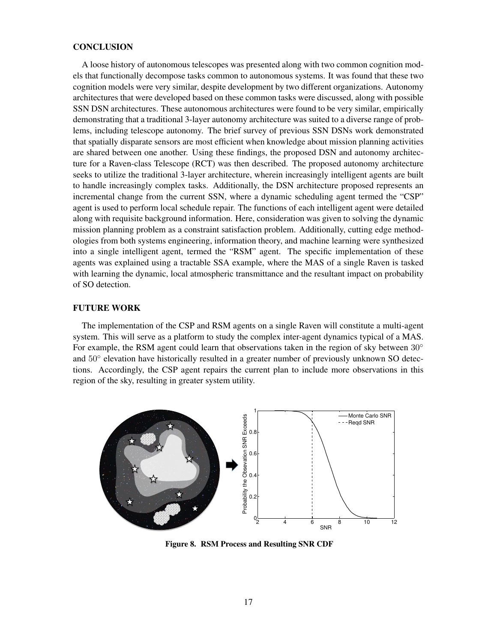## **CONCLUSION**

A loose history of autonomous telescopes was presented along with two common cognition models that functionally decompose tasks common to autonomous systems. It was found that these two cognition models were very similar, despite development by two different organizations. Autonomy architectures that were developed based on these common tasks were discussed, along with possible SSN DSN architectures. These autonomous architectures were found to be very similar, empirically demonstrating that a traditional 3-layer autonomy architecture was suited to a diverse range of problems, including telescope autonomy. The brief survey of previous SSN DSNs work demonstrated that spatially disparate sensors are most efficient when knowledge about mission planning activities are shared between one another. Using these findings, the proposed DSN and autonomy architecture for a Raven-class Telescope (RCT) was then described. The proposed autonomy architecture seeks to utilize the traditional 3-layer architecture, wherein increasingly intelligent agents are built to handle increasingly complex tasks. Additionally, the DSN architecture proposed represents an incremental change from the current SSN, where a dynamic scheduling agent termed the "CSP" agent is used to perform local schedule repair. The functions of each intelligent agent were detailed along with requisite background information. Here, consideration was given to solving the dynamic mission planning problem as a constraint satisfaction problem. Additionally, cutting edge methodologies from both systems engineering, information theory, and machine learning were synthesized into a single intelligent agent, termed the "RSM" agent. The specific implementation of these agents was explained using a tractable SSA example, where the MAS of a single Raven is tasked with learning the dynamic, local atmospheric transmittance and the resultant impact on probability of SO detection.

## FUTURE WORK

The implementation of the CSP and RSM agents on a single Raven will constitute a multi-agent system. This will serve as a platform to study the complex inter-agent dynamics typical of a MAS. For example, the RSM agent could learn that observations taken in the region of sky between 30° and 50° elevation have historically resulted in a greater number of previously unknown SO detections. Accordingly, the CSP agent repairs the current plan to include more observations in this region of the sky, resulting in greater system utility.



<span id="page-16-0"></span>Figure 8. RSM Process and Resulting SNR CDF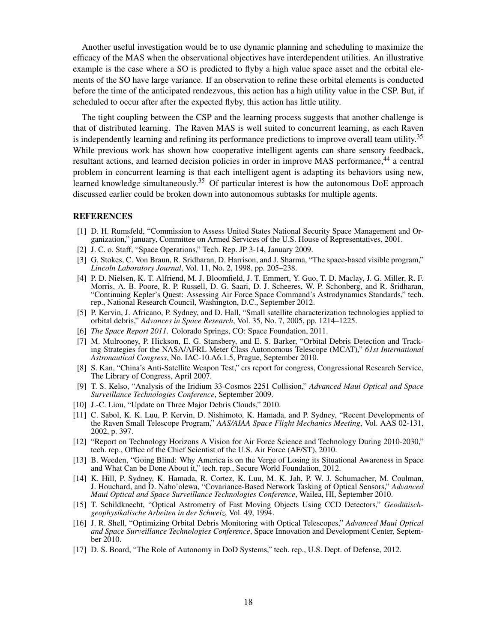Another useful investigation would be to use dynamic planning and scheduling to maximize the efficacy of the MAS when the observational objectives have interdependent utilities. An illustrative example is the case where a SO is predicted to flyby a high value space asset and the orbital elements of the SO have large variance. If an observation to refine these orbital elements is conducted before the time of the anticipated rendezvous, this action has a high utility value in the CSP. But, if scheduled to occur after after the expected flyby, this action has little utility.

The tight coupling between the CSP and the learning process suggests that another challenge is that of distributed learning. The Raven MAS is well suited to concurrent learning, as each Raven is independently learning and refining its performance predictions to improve overall team utility.<sup>[35](#page-18-17)</sup> While previous work has shown how cooperative intelligent agents can share sensory feedback, resultant actions, and learned decision policies in order in improve MAS performance.<sup>[44](#page-19-3)</sup> a central problem in concurrent learning is that each intelligent agent is adapting its behaviors using new, learned knowledge simultaneously.<sup>[35](#page-18-17)</sup> Of particular interest is how the autonomous DoE approach discussed earlier could be broken down into autonomous subtasks for multiple agents.

#### REFERENCES

- <span id="page-17-0"></span>[1] D. H. Rumsfeld, "Commission to Assess United States National Security Space Management and Organization," january, Committee on Armed Services of the U.S. House of Representatives, 2001.
- <span id="page-17-1"></span>[2] J. C. o. Staff, "Space Operations," Tech. Rep. JP 3-14, January 2009.
- <span id="page-17-2"></span>[3] G. Stokes, C. Von Braun, R. Sridharan, D. Harrison, and J. Sharma, "The space-based visible program," *Lincoln Laboratory Journal*, Vol. 11, No. 2, 1998, pp. 205–238.
- <span id="page-17-3"></span>[4] P. D. Nielsen, K. T. Alfriend, M. J. Bloomfield, J. T. Emmert, Y. Guo, T. D. Maclay, J. G. Miller, R. F. Morris, A. B. Poore, R. P. Russell, D. G. Saari, D. J. Scheeres, W. P. Schonberg, and R. Sridharan, "Continuing Kepler's Quest: Assessing Air Force Space Command's Astrodynamics Standards," tech. rep., National Research Council, Washington, D.C., September 2012.
- <span id="page-17-4"></span>[5] P. Kervin, J. Africano, P. Sydney, and D. Hall, "Small satellite characterization technologies applied to orbital debris," *Advances in Space Research*, Vol. 35, No. 7, 2005, pp. 1214–1225.
- <span id="page-17-5"></span>[6] *The Space Report 2011*. Colorado Springs, CO: Space Foundation, 2011.
- <span id="page-17-6"></span>[7] M. Mulrooney, P. Hickson, E. G. Stansbery, and E. S. Barker, "Orbital Debris Detection and Tracking Strategies for the NASA/AFRL Meter Class Autonomous Telescope (MCAT)," *61st International Astronautical Congress*, No. IAC-10.A6.1.5, Prague, September 2010.
- <span id="page-17-7"></span>[8] S. Kan, "China's Anti-Satellite Weapon Test," crs report for congress, Congressional Research Service, The Library of Congress, April 2007.
- <span id="page-17-8"></span>[9] T. S. Kelso, "Analysis of the Iridium 33-Cosmos 2251 Collision," *Advanced Maui Optical and Space Surveillance Technologies Conference*, September 2009.
- <span id="page-17-9"></span>[10] J.-C. Liou, "Update on Three Major Debris Clouds," 2010.
- <span id="page-17-10"></span>[11] C. Sabol, K. K. Luu, P. Kervin, D. Nishimoto, K. Hamada, and P. Sydney, "Recent Developments of the Raven Small Telescope Program," *AAS/AIAA Space Flight Mechanics Meeting*, Vol. AAS 02-131, 2002, p. 397.
- <span id="page-17-11"></span>[12] "Report on Technology Horizons A Vision for Air Force Science and Technology During 2010-2030," tech. rep., Office of the Chief Scientist of the U.S. Air Force (AF/ST), 2010.
- <span id="page-17-12"></span>[13] B. Weeden, "Going Blind: Why America is on the Verge of Losing its Situational Awareness in Space and What Can be Done About it," tech. rep., Secure World Foundation, 2012.
- <span id="page-17-13"></span>[14] K. Hill, P. Sydney, K. Hamada, R. Cortez, K. Luu, M. K. Jah, P. W. J. Schumacher, M. Coulman, J. Houchard, and D. Naho'olewa, "Covariance-Based Network Tasking of Optical Sensors," *Advanced Maui Optical and Space Surveillance Technologies Conference*, Wailea, HI, September 2010.
- <span id="page-17-14"></span>[15] T. Schildknecht, "Optical Astrometry of Fast Moving Objects Using CCD Detectors," *Geodatisch- ¨ geophysikalische Arbeiten in der Schweiz*, Vol. 49, 1994.
- <span id="page-17-15"></span>[16] J. R. Shell, "Optimizing Orbital Debris Monitoring with Optical Telescopes," *Advanced Maui Optical and Space Surveillance Technologies Conference*, Space Innovation and Development Center, September 2010.
- <span id="page-17-16"></span>[17] D. S. Board, "The Role of Autonomy in DoD Systems," tech. rep., U.S. Dept. of Defense, 2012.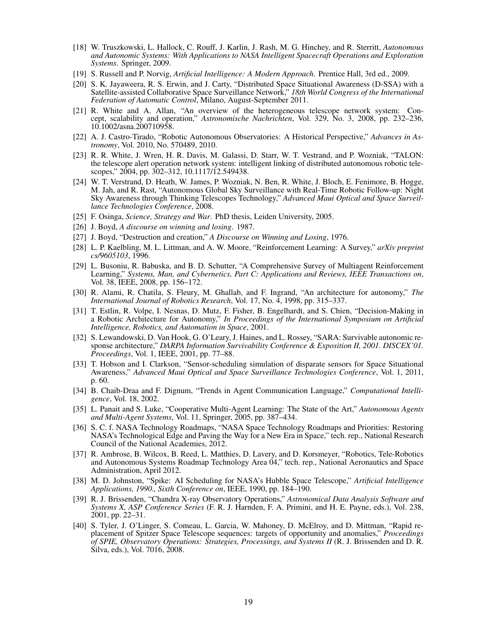- <span id="page-18-0"></span>[18] W. Truszkowski, L. Hallock, C. Rouff, J. Karlin, J. Rash, M. G. Hinchey, and R. Sterritt, *Autonomous and Autonomic Systems: With Applications to NASA Intelligent Spacecraft Operations and Exploration Systems*. Springer, 2009.
- <span id="page-18-1"></span>[19] S. Russell and P. Norvig, *Artificial Intelligence: A Modern Approach*. Prentice Hall, 3rd ed., 2009.
- <span id="page-18-2"></span>[20] S. K. Jayaweera, R. S. Erwin, and J. Carty, "Distributed Space Situational Awareness (D-SSA) with a Satellite-assisted Collaborative Space Surveillance Network," *18th World Congress of the International Federation of Automatic Control*, Milano, August-September 2011.
- <span id="page-18-3"></span>[21] R. White and A. Allan, "An overview of the heterogeneous telescope network system: Concept, scalability and operation," *Astronomische Nachrichten*, Vol. 329, No. 3, 2008, pp. 232–236, 10.1002/asna.200710958.
- <span id="page-18-4"></span>[22] A. J. Castro-Tirado, "Robotic Autonomous Observatories: A Historical Perspective," *Advances in Astronomy*, Vol. 2010, No. 570489, 2010.
- <span id="page-18-5"></span>[23] R. R. White, J. Wren, H. R. Davis, M. Galassi, D. Starr, W. T. Vestrand, and P. Wozniak, "TALON: the telescope alert operation network system: intelligent linking of distributed autonomous robotic telescopes," 2004, pp. 302–312, 10.1117/12.549438.
- <span id="page-18-6"></span>[24] W. T. Verstrand, D. Heath, W. James, P. Wozniak, N. Ben, R. White, J. Bloch, E. Fenimore, B. Hogge, M. Jah, and R. Rast, "Autonomous Global Sky Surveillance with Real-Time Robotic Follow-up: Night Sky Awareness through Thinking Telescopes Technology," *Advanced Maui Optical and Space Surveillance Technologies Conference*, 2008.
- <span id="page-18-7"></span>[25] F. Osinga, *Science, Strategy and War*. PhD thesis, Leiden University, 2005.
- <span id="page-18-8"></span>[26] J. Boyd, *A discourse on winning and losing*. 1987.
- <span id="page-18-10"></span><span id="page-18-9"></span>[27] J. Boyd, "Destruction and creation," *A Discourse on Winning and Losing*, 1976.
- [28] L. P. Kaelbling, M. L. Littman, and A. W. Moore, "Reinforcement Learning: A Survey," *arXiv preprint cs/9605103*, 1996.
- <span id="page-18-11"></span>[29] L. Busoniu, R. Babuska, and B. D. Schutter, "A Comprehensive Survey of Multiagent Reinforcement Learning," *Systems, Man, and Cybernetics, Part C: Applications and Reviews, IEEE Transactions on*, Vol. 38, IEEE, 2008, pp. 156–172.
- <span id="page-18-12"></span>[30] R. Alami, R. Chatila, S. Fleury, M. Ghallab, and F. Ingrand, "An architecture for autonomy," *The International Journal of Robotics Research*, Vol. 17, No. 4, 1998, pp. 315–337.
- <span id="page-18-14"></span>[31] T. Estlin, R. Volpe, I. Nesnas, D. Mutz, F. Fisher, B. Engelhardt, and S. Chien, "Decision-Making in a Robotic Architecture for Autonomy," *In Proceedings of the International Symposium on Artificial Intelligence, Robotics, and Automation in Space*, 2001.
- <span id="page-18-13"></span>[32] S. Lewandowski, D. Van Hook, G. O'Leary, J. Haines, and L. Rossey, "SARA: Survivable autonomic response architecture," *DARPA Information Survivability Conference & Exposition II, 2001. DISCEX'01. Proceedings*, Vol. 1, IEEE, 2001, pp. 77–88.
- <span id="page-18-15"></span>[33] T. Hobson and I. Clarkson, "Sensor-scheduling simulation of disparate sensors for Space Situational Awareness," *Advanced Maui Optical and Space Surveillance Technologies Conference*, Vol. 1, 2011, p. 60.
- <span id="page-18-16"></span>[34] B. Chaib-Draa and F. Dignum, "Trends in Agent Communication Language," *Computational Intelligence*, Vol. 18, 2002.
- <span id="page-18-17"></span>[35] L. Panait and S. Luke, "Cooperative Multi-Agent Learning: The State of the Art," *Autonomous Agents and Multi-Agent Systems*, Vol. 11, Springer, 2005, pp. 387–434.
- <span id="page-18-18"></span>[36] S. C. f. NASA Technology Roadmaps, "NASA Space Technology Roadmaps and Priorities: Restoring NASA's Technological Edge and Paving the Way for a New Era in Space," tech. rep., National Research Council of the National Academies, 2012.
- <span id="page-18-19"></span>[37] R. Ambrose, B. Wilcox, B. Reed, L. Matthies, D. Lavery, and D. Korsmeyer, "Robotics, Tele-Robotics and Autonomous Systems Roadmap Technology Area 04," tech. rep., National Aeronautics and Space Administration, April 2012.
- <span id="page-18-20"></span>[38] M. D. Johnston, "Spike: AI Scheduling for NASA's Hubble Space Telescope," *Artificial Intelligence Applications, 1990., Sixth Conference on*, IEEE, 1990, pp. 184–190.
- <span id="page-18-21"></span>[39] R. J. Brissenden, "Chandra X-ray Observatory Operations," *Astronomical Data Analysis Software and Systems X, ASP Conference Series* (F. R. J. Harnden, F. A. Primini, and H. E. Payne, eds.), Vol. 238, 2001, pp. 22–31.
- <span id="page-18-22"></span>[40] S. Tyler, J. O'Linger, S. Comeau, L. Garcia, W. Mahoney, D. McElroy, and D. Mittman, "Rapid replacement of Spitzer Space Telescope sequences: targets of opportunity and anomalies," *Proceedings of SPIE, Observatory Operations: Strategies, Processings, and Systems II* (R. J. Brissenden and D. R. Silva, eds.), Vol. 7016, 2008.